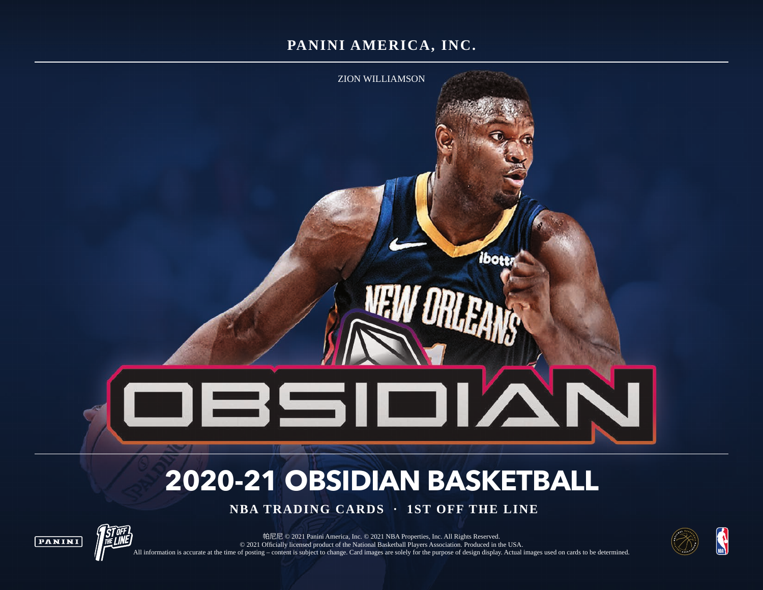# **PANINI AMERICA, INC.**



# **2020-21 OBSIDIAN BASKETBALL**

 **NBA TRADING CARDS · 1ST OFF THE LINE**





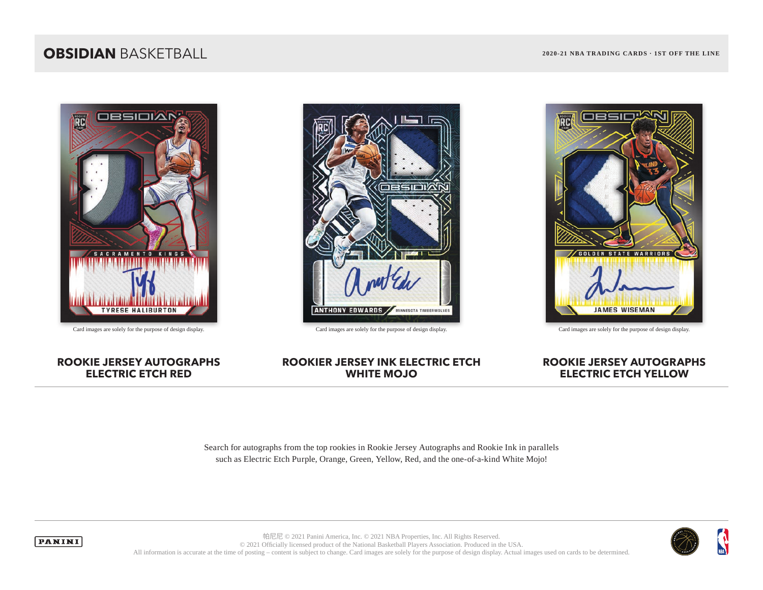## **OBSIDIAN** BASKETBALL **2020-21 NBA TRADING CARDS · 1ST OFF THE LINE**







Card images are solely for the purpose of design display. Card images are solely for the purpose of design display. Card images are solely for the purpose of design display.

#### **ROOKIE JERSEY AUTOGRAPHS ELECTRIC ETCH RED**

#### **ROOKIER JERSEY INK ELECTRIC ETCH WHITE MOJO**

#### **ROOKIE JERSEY AUTOGRAPHS ELECTRIC ETCH YELLOW**

Search for autographs from the top rookies in Rookie Jersey Autographs and Rookie Ink in parallels such as Electric Etch Purple, Orange, Green, Yellow, Red, and the one-of-a-kind White Mojo!



**PANINI** 

帕尼尼 © 2021 Panini America, Inc. © 2021 NBA Properties, Inc. All Rights Reserved. © 2021 Officially licensed product of the National Basketball Players Association. Produced in the USA. All information is accurate at the time of posting – content is subject to change. Card images are solely for the purpose of design display. Actual images used on cards to be determined.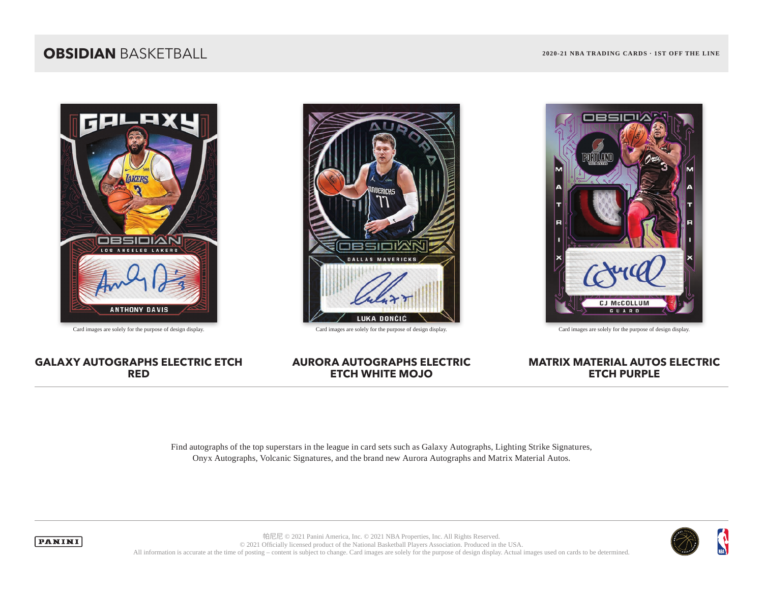### **OBSIDIAN** BASKETBALL **2020-21 NBA TRADING CARDS · 1ST OFF THE LINE**





Card images are solely for the purpose of design display. Card images are solely for the purpose of design display. Card images are solely for the purpose of design display.



#### **GALAXY AUTOGRAPHS ELECTRIC ETCH RED**

#### **AURORA AUTOGRAPHS ELECTRIC ETCH WHITE MOJO**

### **MATRIX MATERIAL AUTOS ELECTRIC ETCH PURPLE**

Find autographs of the top superstars in the league in card sets such as Galaxy Autographs, Lighting Strike Signatures, Onyx Autographs, Volcanic Signatures, and the brand new Aurora Autographs and Matrix Material Autos.





帕尼尼 © 2021 Panini America, Inc. © 2021 NBA Properties, Inc. All Rights Reserved. © 2021 Officially licensed product of the National Basketball Players Association. Produced in the USA. All information is accurate at the time of posting – content is subject to change. Card images are solely for the purpose of design display. Actual images used on cards to be determined.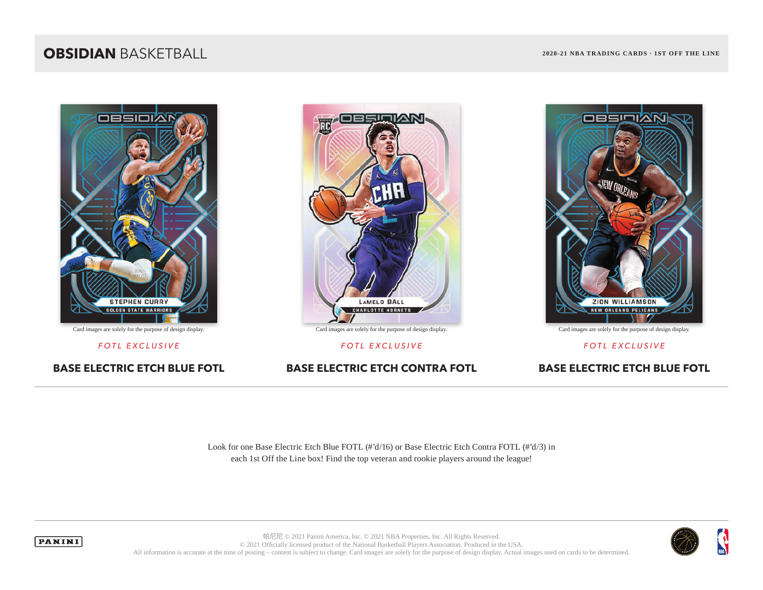## **OBSIDIAN** BASKETBALL **2020-21 NBA TRADING CARDS · 1ST OFF THE LINE**



**BASE ELECTRIC ETCH BLUE FOTL BASE ELECTRIC ETCH CONTRA FOTL BASE ELECTRIC ETCH BLUE FOTL**



Card images are solely for the purpose of design display. Card images are solely for the purpose of design display. Card images are solely for the purpose of design display.



*FOTL EXCLUSIVE FOTL EXCLUSIVE FOTL EXCLUSIVE*

Look for one Base Electric Etch Blue FOTL (#'d/16) or Base Electric Etch Contra FOTL (#'d/3) in each 1st Off the Line box! Find the top veteran and rookie players around the league!





帕尼尼 © 2021 Panini America, Inc. © 2021 NBA Properties, Inc. All Rights Reserved. © 2021 Officially licensed product of the National Basketball Players Association. Produced in the USA. All information is accurate at the time of posting – content is subject to change. Card images are solely for the purpose of design display. Actual images used on cards to be determined.